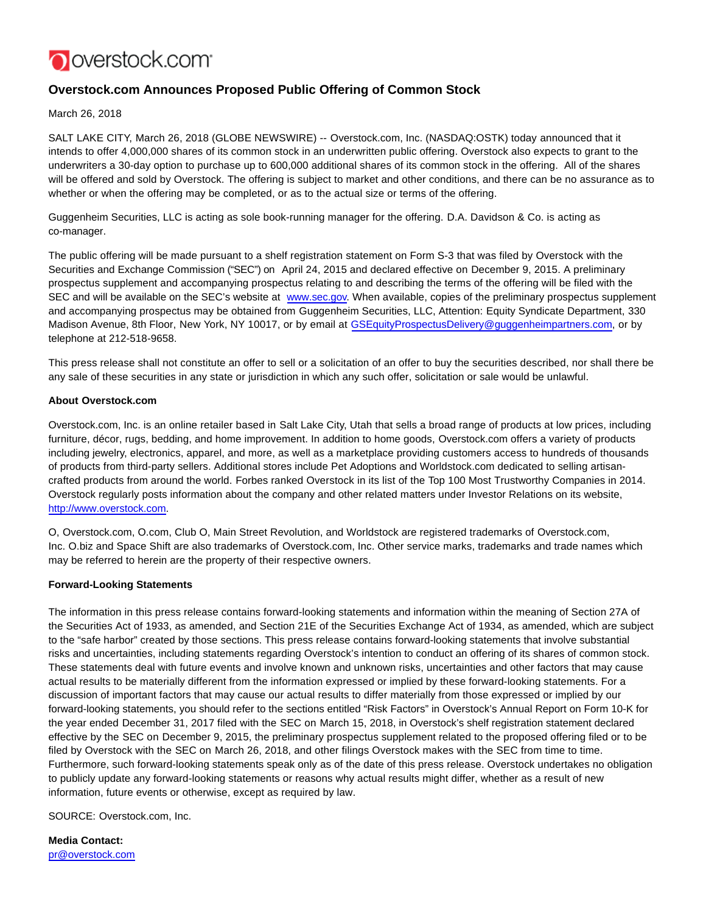

## **Overstock.com Announces Proposed Public Offering of Common Stock**

March 26, 2018

SALT LAKE CITY, March 26, 2018 (GLOBE NEWSWIRE) -- Overstock.com, Inc. (NASDAQ:OSTK) today announced that it intends to offer 4,000,000 shares of its common stock in an underwritten public offering. Overstock also expects to grant to the underwriters a 30-day option to purchase up to 600,000 additional shares of its common stock in the offering. All of the shares will be offered and sold by Overstock. The offering is subject to market and other conditions, and there can be no assurance as to whether or when the offering may be completed, or as to the actual size or terms of the offering.

Guggenheim Securities, LLC is acting as sole book-running manager for the offering. D.A. Davidson & Co. is acting as co-manager.

The public offering will be made pursuant to a shelf registration statement on Form S-3 that was filed by Overstock with the Securities and Exchange Commission ("SEC") on April 24, 2015 and declared effective on December 9, 2015. A preliminary prospectus supplement and accompanying prospectus relating to and describing the terms of the offering will be filed with the SEC and will be available on the SEC's website at [www.sec.gov.](http://www.sec.gov/) When available, copies of the preliminary prospectus supplement and accompanying prospectus may be obtained from Guggenheim Securities, LLC, Attention: Equity Syndicate Department, 330 Madison Avenue, 8th Floor, New York, NY 10017, or by email at [GSEquityProspectusDelivery@guggenheimpartners.com,](mailto:GSEquityProspectusDelivery@guggenheimpartners.com) or by telephone at 212-518-9658.

This press release shall not constitute an offer to sell or a solicitation of an offer to buy the securities described, nor shall there be any sale of these securities in any state or jurisdiction in which any such offer, solicitation or sale would be unlawful.

## **About Overstock.com**

Overstock.com, Inc. is an online retailer based in Salt Lake City, Utah that sells a broad range of products at low prices, including furniture, décor, rugs, bedding, and home improvement. In addition to home goods, Overstock.com offers a variety of products including jewelry, electronics, apparel, and more, as well as a marketplace providing customers access to hundreds of thousands of products from third-party sellers. Additional stores include Pet Adoptions and Worldstock.com dedicated to selling artisancrafted products from around the world. Forbes ranked Overstock in its list of the Top 100 Most Trustworthy Companies in 2014. Overstock regularly posts information about the company and other related matters under Investor Relations on its website, [http://www.overstock.com.](http://www.overstock.com/)

O, Overstock.com, O.com, Club O, Main Street Revolution, and Worldstock are registered trademarks of Overstock.com, Inc. O.biz and Space Shift are also trademarks of Overstock.com, Inc. Other service marks, trademarks and trade names which may be referred to herein are the property of their respective owners.

## **Forward-Looking Statements**

The information in this press release contains forward-looking statements and information within the meaning of Section 27A of the Securities Act of 1933, as amended, and Section 21E of the Securities Exchange Act of 1934, as amended, which are subject to the "safe harbor" created by those sections. This press release contains forward-looking statements that involve substantial risks and uncertainties, including statements regarding Overstock's intention to conduct an offering of its shares of common stock. These statements deal with future events and involve known and unknown risks, uncertainties and other factors that may cause actual results to be materially different from the information expressed or implied by these forward-looking statements. For a discussion of important factors that may cause our actual results to differ materially from those expressed or implied by our forward-looking statements, you should refer to the sections entitled "Risk Factors" in Overstock's Annual Report on Form 10-K for the year ended December 31, 2017 filed with the SEC on March 15, 2018, in Overstock's shelf registration statement declared effective by the SEC on December 9, 2015, the preliminary prospectus supplement related to the proposed offering filed or to be filed by Overstock with the SEC on March 26, 2018, and other filings Overstock makes with the SEC from time to time. Furthermore, such forward-looking statements speak only as of the date of this press release. Overstock undertakes no obligation to publicly update any forward-looking statements or reasons why actual results might differ, whether as a result of new information, future events or otherwise, except as required by law.

SOURCE: Overstock.com, Inc.

**Media Contact:** [pr@overstock.com](mailto:pr@overstock.com)